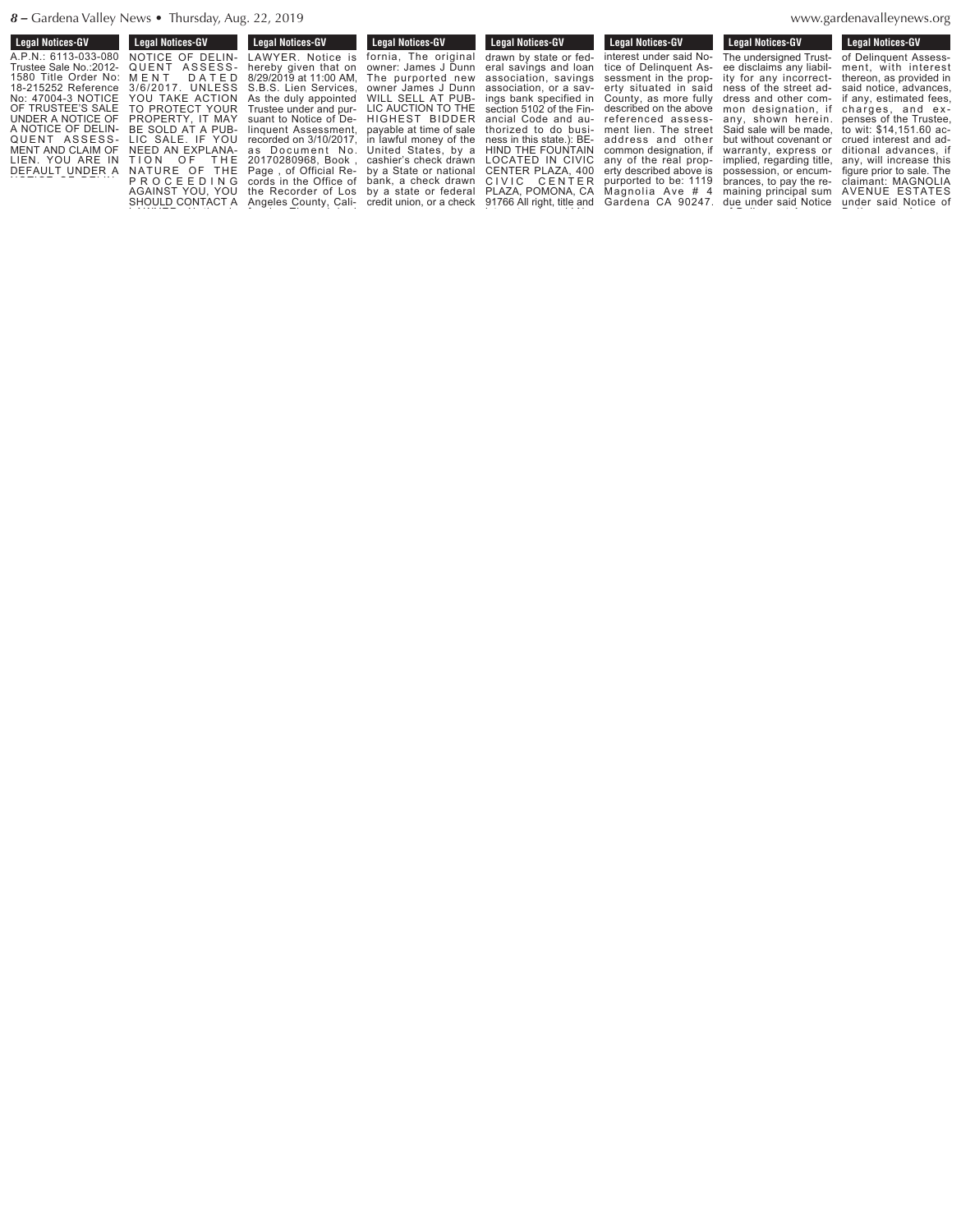#### *8 –* Gardena Valley News • Thursday, Aug. 22, 2019 www.gardenavalleynews.org  $22.2019$ ews • Thursday, Au  $\ldots$   $\ldots$   $\ldots$   $\ldots$

| <b>Legal Notices-GV</b>   | <b>Legal Notices-GV</b>                                                                                                                                                 | Legal Notices-GV                                                                                                | Legal Notices-GV | <b>Legal Notices-GV</b>                                                                                            | Legal Notices-GV        | Legal Notices-GV                                  | Legal Notices-GV        |
|---------------------------|-------------------------------------------------------------------------------------------------------------------------------------------------------------------------|-----------------------------------------------------------------------------------------------------------------|------------------|--------------------------------------------------------------------------------------------------------------------|-------------------------|---------------------------------------------------|-------------------------|
| A.P.N.: 6113-033-080      | NOTICE OF DELIN- LAWYER. Notice is fornia, The original                                                                                                                 |                                                                                                                 |                  | drawn by state or fed-                                                                                             | interest under said No- | The undersigned Trust- of Delinguent Assess-      |                         |
|                           | Trustee Sale No.:2012- QUENT ASSESS- hereby given that on owner: James J Dunn eral savings and loan tice of Delinguent As- ee disclaims any liabil-                     |                                                                                                                 |                  |                                                                                                                    |                         |                                                   | ment, with interest     |
| 1580 Title Order No: MENT |                                                                                                                                                                         | DATED 8/29/2019 at 11:00 AM. The purported new association, savings sessment in the prop-ity for any incorrect- |                  |                                                                                                                    |                         |                                                   | thereon, as provided in |
|                           | 18-215252 Reference 3/6/2017. UNLESS S.B.S. Lien Services, owner James J Dunn association, or a say-erty situated in said ness of the street ad- said notice, advances, |                                                                                                                 |                  |                                                                                                                    |                         |                                                   |                         |
|                           | No: 47004-3 NOTICE YOU TAKE ACTION As the duly appointed WILL SELL AT PUB-                                                                                              |                                                                                                                 |                  | ings bank specified in County, as more fully dress and other com- if any, estimated fees,                          |                         |                                                   |                         |
|                           | OF TRUSTEE'S SALE TO PROTECT YOUR Trustee under and pur- LIC AUCTION TO THE section 5102 of the Fin- described on the above mon designation, if charges, and ex-        |                                                                                                                 |                  |                                                                                                                    |                         |                                                   |                         |
|                           | UNDER A NOTICE OF PROPERTY. IT MAY suant to Notice of De-HIGHEST BIDDER ancial Code and au-referenced assess- any, shown herein, penses of the Trustee,                 |                                                                                                                 |                  |                                                                                                                    |                         |                                                   |                         |
|                           | A NOTICE OF DELIN- BE SOLD AT A PUB- linguent Assessment.                                                                                                               |                                                                                                                 |                  | payable at time of sale thorized to do busi- ment lien. The street Said sale will be made, to wit: \$14,151.60 ac- |                         |                                                   |                         |
|                           | QUENT ASSESS- LIC SALE. IF YOU recorded on 3/10/2017, in lawful money of the ness in this state.): BE- address and other                                                |                                                                                                                 |                  |                                                                                                                    |                         | but without covenant or crued interest and ad-    |                         |
|                           | MENT AND CLAIM OF NEED AN EXPLANA- as Document No. United States, by a HIND THE FOUNTAIN common designation if                                                          |                                                                                                                 |                  |                                                                                                                    |                         | warranty, express or ditional advances, if        |                         |
|                           | LIEN. YOU ARE IN TION OF THE 20170280968, Book, cashier's check drawn LOCATED IN CIVIC any of the real prop-                                                            |                                                                                                                 |                  |                                                                                                                    |                         | implied, regarding title, any, will increase this |                         |
|                           | DEFAULT UNDER A NATURE OF THE Page, of Official Re- by a State or national CENTER PLAZA, 400 erty described above is                                                    |                                                                                                                 |                  |                                                                                                                    |                         | possession, or encum- figure prior to sale. The   |                         |
|                           |                                                                                                                                                                         | PROCEEDING cords in the Office of bank, a check drawn CIVIC CENTER purported to be: 1119                        |                  |                                                                                                                    |                         | brances, to pay the re- claimant: MAGNOLIA        |                         |
|                           |                                                                                                                                                                         | AGAINST YOU, YOU the Recorder of Los by a state or federal PLAZA, POMONA, CA Magnolia Ave #4                    |                  |                                                                                                                    |                         | maining principal sum AVENUE ESTATES              |                         |
|                           |                                                                                                                                                                         | SHOULD CONTACT A Angeles County, Cali- credit union, or a check 91766 All right, title and Gardena CA 90247.    |                  |                                                                                                                    |                         | due under said Notice under said Notice of        |                         |

denavalleynews.org

 $WWW.\overline{9}$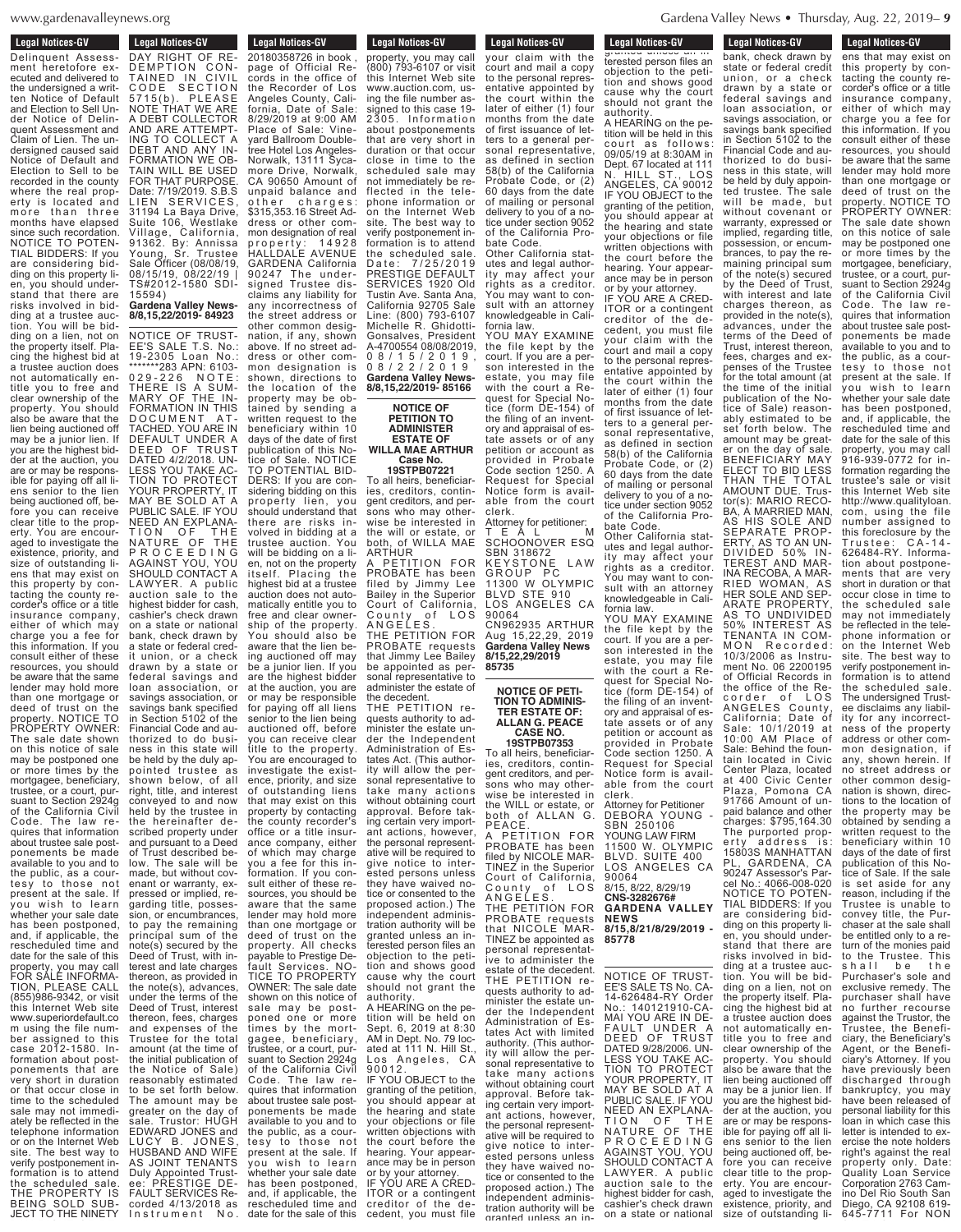$\epsilon$  sale. Organization sale.  $\mathcal{L}$ www.gardenavalley mantenantino,

#### **Legal Notices-GV** Legal Notices-GV

Delinquent Assessment heretofore executed and delivered to the undersigned a written Notice of Default and Election to Sell Under Notice of Delinquent Assessment and Claim of Lien. The undersigned caused said Notice of Default and Election to Sell to be recorded in the county where the real property is located and more than three months have elapsed since such recordation. NOTICE TO POTEN-TIAL BIDDERS: If you are considering bidding on this property lien, you should understand that there are risks involved in bidding at a trustee auction. You will be bidding on a lien, not on the property itself. Placing the highest bid at a trustee auction does not automatically entitle you to free and clear ownership of the property. You should also be aware that the lien being auctioned off may be a junior lien. If you are the highest bidder at the auction, you are or may be responsible for paying off all liens senior to the lien being auctioned off, before you can receive clear title to the property. You are encouraged to investigate the existence, priority, and size of outstanding liens that may exist on this property by contacting the county recorder's office or a title insurance company, either of which may charge you a fee for this information. If you consult either of these resources, you should be aware that the same lender may hold more than one mortgage or deed of trust on the property. NOTICE TO PROPERTY OWNER: The sale date shown on this notice of sale may be postponed one or more times by the mortgagee, beneficiary, trustee, or a court, pursuant to Section 2924g of the California Civil Code. The law requires that information about trustee sale postponements be made available to you and to the public, as a courtesy to those not present at the sale. If you wish to learn whether your sale date has been postponed,<br>and, if applicable, the if applicable, the rescheduled time and date for the sale of this property, you may call FOR SALE INFORMA-TION, PLEASE CALL (855)986-9342, or visit this Internet Web site www.superiordefault.co m using the file number assigned to this case 2012-1580. Information about postponements that are very short in duration or that occur close in time to the scheduled sale may not immediately be reflected in the telephone information or on the Internet Web site. The best way to verify postponement information is to attend the scheduled sale. THE PROPERTY IS BEING SOLD SUB-JECT TO THE NINETY

DAY RIGHT OF RE-

Legal Nutries-GV 20180358726 in book , page of Official Records in the office of the Recorder of Los Angeles County, California, Date of Sale: 8/29/2019 at 9:00 AM Place of Sale: Vineyard Ballroom Doubletree Hotel Los Angeles-Norwalk, 13111 Sycamore Drive, Norwalk, CA 90650 Amount of unpaid balance and o ther charges: \$315,353.16 Street Address or other common designation of real p r o p e r t y : 1 4 9 2 8 HALLDALE AVENUE GARDENA California 90247 The undersigned Trustee disclaims any liability for any incorrectness of the street address or other common desig-**Legal Notices-GV** Legal Nutres-GV DAY RIGHT OF RE-DEMPTION CON-TAINED IN CIVIL CODE SECTION 5715(b). PLEASE NOTE THAT WE ARE A DEBT COLLECTOR AND ARE ATTEMPT-ING TO COLLECT A DEBT AND ANY IN-FORMATION WE OB-TAIN WILL BE USED FOR THAT PURPOSE Date: 7/19/2019. S.B.S LIEN SERVICES, 31194 La Baya Drive, Suite 106, Westlake Village, California, 91362. By: Annissa Young, Sr. Trustee Sale Officer (08/08/19, 08/15/19, 08/22/19 | TS#2012-1580 SDI-15594) **Gardena Valley News-8/8,15,22/2019- 84923**

nation, if any, shown above. If no street address or other common designation is shown, directions to the location of the property may be obtained by sending a written request to the beneficiary within 10 days of the date of first publication of this Notice of Sale. NOTICE TO POTENTIAL BID-DERS: If you are considering bidding on this property lien, you should understand that there are risks involved in bidding at a trustee auction. You will be bidding on a lien, not on the property itself. Placing the highest bid at a trustee auction does not automatically entitle you to free and clear ownership of the property. You should also be aware that the lien being auctioned off may be a junior lien. If you are the highest bidder at the auction, you are or may be responsible for paying off all liens senior to the lien being auctioned off, before you can receive clear title to the property. You are encouraged to investigate the existence, priority, and size of outstanding liens that may exist on this property by contacting the county recorder's office or a title insurance company, either of which may charge you a fee for this information. If you consult either of these resources, you should be aware that the same lender may hold more than one mortgage or deed of trust on the property. All checks payable to Prestige Default Services. NO-TICE TO PROPERTY OWNER: The sale date shown on this notice of sale may be postponed one or more times by the mortgagee, beneficiary, trustee, or a court, pursuant to Section 2924g of the California Civil Code. The law requires that information about trustee sale postponements be made available to you and to the public, as a courtesy to those not present at the sale. If you wish to learn whether your sale date has been postponed, and, if applicable, the rescheduled time and date for the sale of this NOTICE OF TRUST-EE'S SALE T.S. No.: 19-2305 Loan No.: \*283 APN: 6103-0 2 9 - 2 2 6 N O T E : THERE IS A SUM-MARY OF THE IN-FORMATION IN THIS DOCUMENT AT-TACHED. YOU ARE IN DEFAULT UNDER A DEED OF TRUST DATED 4/2/2018. UN-LESS YOU TAKE AC-TION TO PROTECT YOUR PROPERTY, IT MAY BE SOLD AT A PUBLIC SALE. IF YOU NEED AN EXPLANA-TION OF THE NATURE OF THE P R O C E E D I N G AGAINST YOU, YOU SHOULD CONTACT A LAWYER. A public auction sale to the highest bidder for cash, cashier's check drawn on a state or national bank, check drawn by a state or federal credit union, or a check drawn by a state or federal savings and loan association, or savings association, or savings bank specified in Section 5102 of the Financial Code and authorized to do business in this state will be held by the duly appointed trustee as shown below, of all right, title, and interest conveyed to and now held by the trustee in the hereinafter described property under and pursuant to a Deed of Trust described below. The sale will be made, but without covenant or warranty, expressed or implied, regarding title, posses-sion, or encumbrances, to pay the remaining principal sum of the note(s) secured by the Deed of Trust, with interest and late charges thereon, as provided in the note(s), advances, under the terms of the Deed of Trust, interest thereon, fees, charges and expenses of the Trustee for the total amount (at the time of the initial publication of the Notice of Sale) reasonably estimated to be set forth below. The amount may be greater on the day of sale. Trustor: HUGH EDWARD JONES and LUCY B. JONES,<br>HUSBAND AND WIFE AS JOINT TENANTS Duly Appointed Trustee: PRESTIGE DE-FAULT SERVICES Recorded 4/13/2018 as Instrument No.

**Legal Notices-GV** Legal Nutries-dv property, you may call (800) 793-6107 or visit this Internet Web site www.auction.com, using the file number assigned to this case 19- 2305. Information about postponements that are very short in duration or that occur close in time to the scheduled sale may not immediately be reflected in the telephone information or on the Internet Web site. The best way to verify postponement information is to attend the scheduled sale.<br>the scheduled sale.<br>Date: 7/25/2019 Date: 7/25/2019 PRESTIGE DEFAULT SERVICES 1920 Old Tustin Ave. Santa Ana, California 92705 Sale Line: (800) 793-6107 Michelle R. Ghidotti-Gonsalves, President A-4700554 08/08/2019, 0 8 / 1 5 / 2 0 1 9 , 0 8 / 2 2 / 2 0 1 9 **Gardena Valley News-8/8,15,22/2019- 85166 NOTICE OF Legal Notices-GV** 

## **PETITION TO ADMINISTER ESTATE OF WILLA MAE ARTHUR Case No.**

## **19STPB07221**

To all heirs, beneficiaries, creditors, contingent creditors, and persons who may otherwise be interested in the will or estate. both, of WILLA MAE ARTHUR A PETITION FOR PROBATE has been filed by Jimmy Lee Bailey in the Superior Court of California, County of LOS A N G E L E S . THE PETITION FOR PROBATE requests that Jimmy Lee Bailey be appointed as personal representative to administer the estate of the decedent. THE PETITION requests authority to administer the estate under the Independent Administration of Estates Act. (This authority will allow the personal representative to take many actions without obtaining court approval. Before taking certain very important actions, however, the personal representative will be required to give notice to interested persons unless they have waived notice or consented to the proposed action.) The independent administration authority will be granted unless an interested person files an objection to the petition and shows good cause why the court should not grant the authority. authority.<br>A HEARING on the pe-

tition will be held on Sept. 6, 2019 at 8:30 AM in Dept. No. 79 located at 111 N. Hill St., Los Angeles, CA<br>90012.

IF YOU OBJECT to the granting of the petition, you should appear at the hearing and state your objections or file written objections with the court before the hearing. Your appearance may be in person or by your attorney.

IF YOU ARE A CRED-ITOR or a contingent<br>creditor of the de-<br>cedent, you must file<br>i

authority. **Legal Notices-GV** cegal Nutries-dv your claim with the court and mail a copy to the personal representative appointed by the court within the later of either (1) four months from the date of first issuance of letters to a general personal representative, as defined in section 58(b) of the California Probate Code, or (2) 60 days from the date

ANGELES, CA 90012 IF YOU OBJECT to the granting of the petition, you should appear at the hearing and state your objections or file written objections with the court before the hearing. Your appearof mailing or personal delivery to you of a notice under section 9052 of the California Probate Code. Other California statutes and legal author-

**Legal Notices-GV** 

granted unless an in-

or by your attorney.

fornia law.

clerk.

90064

Attorney for Petitioner

BLVD. SUITE 400

8/15, 8/22, 8/29/19 **CNS-3282676#**

SBN 250106 YOUNG LAW FIRM

ity may affect your rights as a creditor. You may want to consult with an attorney knowledgeable in California law. YOU MAY EXAMINE

the file kept by the court. If you are a person interested in the estate, you may file with the court a Request for Special Notice (form DE-154) of the filing of an inventory and appraisal of estate assets or of any petition or account as provided in Probate Code section 1250. A Request for Special Notice form is available from the court clerk.

bate Code. Attorney for petitioner: T E A L M SCHOONOVER ESQ SBN 318672 KEYSTONE LAW GROUP PC 11300 W OLYMPIC BLVD STE 910 LOS ANGELES CA 90064 CN962935 ARTHUR Aug 15,22,29, 2019 **Gardena Valley News 8/15,22,29/2019 85735**

**NOTICE OF PETI-TION TO ADMINIS-TER ESTATE OF: ALLAN G. PEACE CASE NO. 19STPB07353**

To all heirs, beneficiaries, creditors, contingent creditors, and persons who may otherwise be interested in the WILL or estate, or both of ALLAN G. PEACE. A PETITION FOR

**NEWS** PROBATE has been filed by NICOLE MAR-TINEZ in the Superior Court of California, County of LOS<br>ANGELES. THE PETITION FOR PROBATE requests that NICOLE MAR-TINEZ be appointed as

personal representative to administer the estate of the decedent. THE PETITION requests authority to administer the estate under the Independent Administration of Estates Act with limited authority. (This authority will allow the personal representative to take many actions without obtaining court approval. Before taking certain very important actions, however, the personal representative will be required to give notice to interested persons unless they have waived notice or consented to the proposed action.) The

independent administration authority will be granted unless an in-

**85778** NOTICE OF TRUST-EE'S SALE TS No. CA-14-626484-RY Order No.: 140121910-CA-MAI YOU ARE IN DE-FAULT UNDER A DEED OF TRUST DATED 9/28/2006. UN-LESS YOU TAKE AC-TION TO PROTECT YOUR PROPERTY, IT MAY BE SOLD AT A PUBLIC SALE. IF YOU NEED AN EXPLANA-TION OF THE NATURE OF THE P R O C E E D I N G AGAINST YOU, YOU SHOULD CONTACT A LAWYER. A public auction sale to the highest bidder for cash,<br>cashier's check drawn on a state or national

www.gardenavalleynews.org entitled that the state of the state of Gardena Valley News • Thursday, Aug. 22, 2019– **9**  $\frac{1}{2}$  $R = \text{News} \cdot \text{Thurs}$  $\sum_{i=1}^{n}$  in case in case Gardena<sup>'</sup> independent adminis-

**Legal Notices-GV** 

**Legal Nutices-GV** 

**Legal Notices-GV** 

**Legal Nutries-GV** 

ens that may exist on this property by conbank, check drawn by state or federal credit union, or a check drawn by a state or federal savings and loan association, or savings association, or savings bank specified in Section 5102 to the Financial Code and authorized to do business in this state, will be held by duly appointed trustee. The sale will be made, but without covenant or warranty, expressed or implied, regarding title, possession, or encumbrances, to pay the remaining principal sum of the note(s) secured by the Deed of Trust, with interest and late charges thereon, as provided in the note(s), advances, under the terms of the Deed of Trust, interest thereon, fees, charges and expenses of the Trustee for the total amount (at the time of the initial publication of the Notice of Sale) reasonably estimated to be set forth below. The amount may be greater on the day of sale. BENEFICIARY MAY ELECT TO BID LESS THAN THE TOTAL AMOUNT DUE. Trustor(s): MARIO RECO-BA, A MARRIED MAN, AS HIS SOLE AND **SA, A MARRILLO MARY,**<br>AS HIS SOLE AND<br>SEPARATE PROP-ERTY, AS TO AN UN-DIVIDED 50% IN-TEREST AND MAR-INA RECOBA, A MAR-RIED WOMAN, AS HER SOLE AND SEP-ARATE PROPERTY, AS TO UNDIVIDED 50% INTEREST AS TENANTA IN COM-MON Recorded: 10/3/2006 as Instrument No. 06 2200195 of Official Records in the office of the Recorder of LOS ANGELES County, California; Date of Sale: 10/1/2019 at 10:00 AM Place of Sale: Behind the fountain located in Civic Center Plaza, located at 400 Civic Center Plaza, Pomona CA 91766 Amount of unpaid balance and other charges: \$795,164.30 The purported property address is: 15803S MANHATTAN PL, GARDENA, CA 90247 Assessor's Parcel No.: 4066-008-020 NOTICE TO POTEN-TIAL BIDDERS: If you are considering bidding on this property lien, you should understand that there are risks involved in bidding at a trustee auction. You will be bidding on a lien, not on the property itself. Placing the highest bid at a trustee auction does not automatically entitle you to free and clear ownership of the property. You should also be aware that the lien being auctioned off may be a junior lien. If you are the highest bidder at the auction, you are or may be responsible for paying off all liens senior to the lien being auctioned off, before you can receive clear title to the property. You are encouraged to investigate the existence, priority, and terested person files an objection to the petition and shows good cause why the court should not grant the A HEARING on the petition will be held in this court as follows: 09/05/19 at 8:30AM in Dept. 67 located at 111 N. HILL ST., LOS ance may be in person IF YOU ARE A CRED-ITOR or a contingent creditor of the decedent, you must file your claim with the court and mail a copy to the personal representative appointed by the court within the later of either (1) four months from the date of first issuance of letters to a general personal representative, as defined in section 58(b) of the California Probate Code, or (2) 60 days from the date of mailing or personal delivery to you of a notice under section 9052 of the California Pro-Other California statutes and legal authority may affect your rights as a creditor. You may want to consult with an attorney knowledgeable in Cali-YOU MAY EXAMINE the file kept by the court. If you are a person interested in the estate, you may file with the court a Request for Special Notice (form DE-154) of the filing of an inventory and appraisal of estate assets or of any petition or account as provided in Probate Code section 1250. A Request for Special Notice form is available from the court DEBORA YOUNG - 11500 W. OLYMPIC LOS ANGELES CA **GARDENA VALLEY 8/15,8/21/8/29/2019 -**

size of outstanding liens that may exist on tacting the county recorder's office or a title insurance company, either of which may charge you a fee for this information. If you consult either of these resources, you should be aware that the same lender may hold more than one mortgage or deed of trust on the property. NOTICE TO PROPERTY OWNER: The sale date shown on this notice of sale may be postponed one or more times by the mortgagee, beneficiary, trustee, or a court, pursuant to Section 2924g of the California Civil Code. The law requires that information about trustee sale postponements be made available to you and to the public, as a courtesy to those not present at the sale. If you wish to learn whether your sale date has been postponed, and, if applicable, the rescheduled time and date for the sale of this property, you may call 916-939-0772 for information regarding the trustee's sale or visit this Internet Web site http://www.qualityloan. com, using the file number assigned to this foreclosure by the T r u s t e e : C A - 1 4 - 626484-RY. Information about postponements that are very short in duration or that occur close in time to the scheduled sale may not immediately be reflected in the telephone information or on the Internet Web<br>site. The best way to The best way to verify postponement information is to attend the scheduled sale. The undersigned Trustee disclaims any liability for any incorrectness of the property address or other common designation, if any, shown herein. If no street address or other common designation is shown, directions to the location of the property may be obtained by sending a written request to the beneficiary within 10 days of the date of first publication of this Notice of Sale. If the sale is set aside for any reason, including if the Trustee is unable to convey title, the Purchaser at the sale shall be entitled only to a return of the monies paid to the Trustee. This shall be the Purchaser's sole and exclusive remedy. The purchaser shall have no further recourse against the Trustor, the Trustee, the Beneficiary, the Beneficiary's Agent, or the Beneficiary's Attorney. If you have previously been discharged through bankruptcy, you may have been released of personal liability for this loan in which case this letter is intended to exercise the note holders right's against the real property only. Date: Quality Loan Service Corporation 2763 Camino Del Rio South San Diego, CA 92108 619- 645-7711 For NON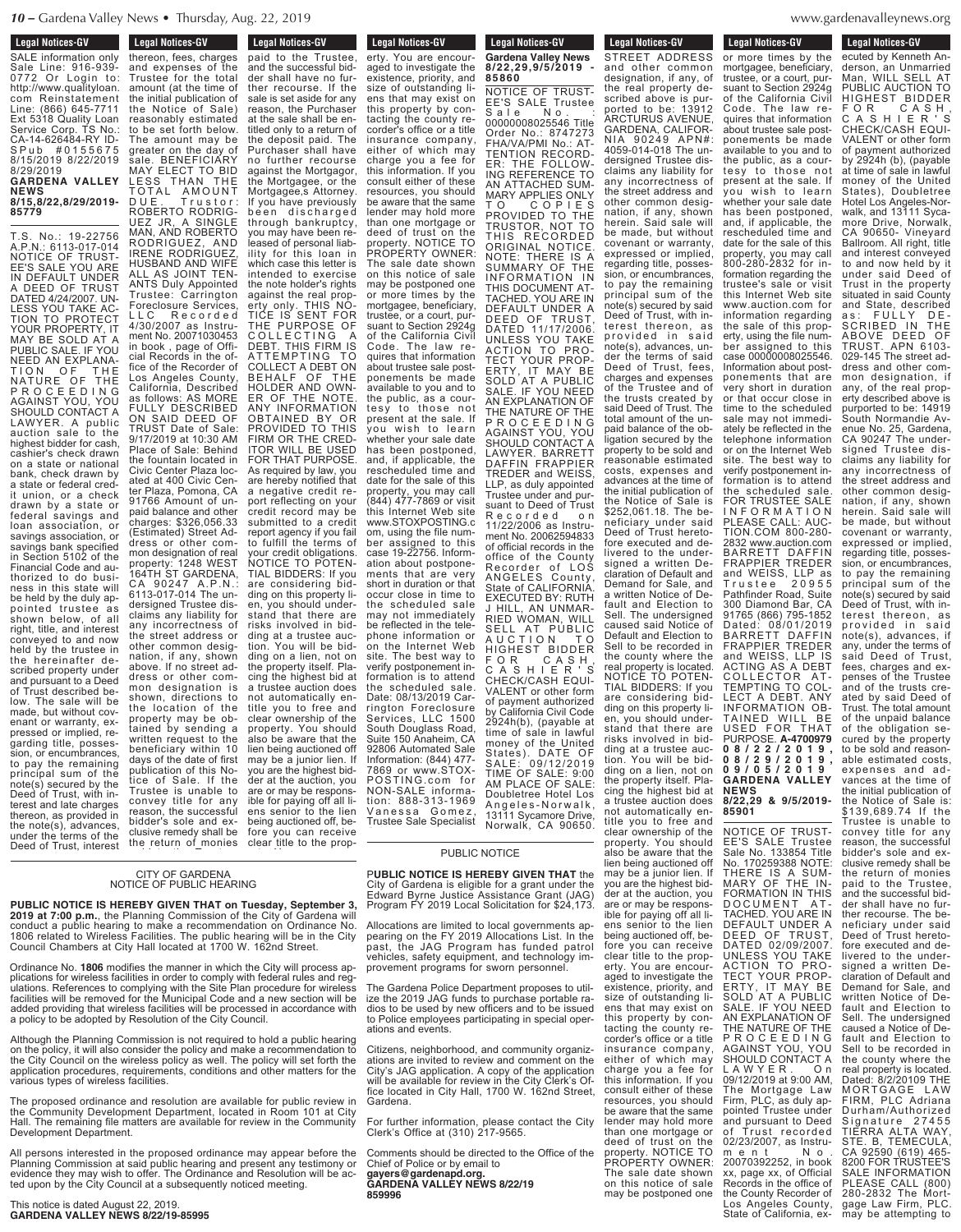**Legal Notices-GV** 

**Legal Notices-GV** Eegal Nuttles-GV SALE information only Sale Line: 916-939- 0772 Or Login to: http://www.qualityloan. com Reinstatement Line: (866) 645-7711 Ext 5318 Quality Loan Service Corp. TS No.: CA-14-626484-RY ID-S P u b # 0 1 5 5 6 7 5 8/15/2019 8/22/2019 8/29/2019 **GARDENA VALLEY NEWS 8/15,8/22,8/29/2019- 85779**

T.S. No.: 19-22756 A.P.N.: 6113-017-014 NOTICE OF TRUST-EE'S SALE YOU ARE IN DEFAULT UNDER A DEED OF TRUST DATED 4/24/2007. UN-LESS YOU TAKE AC-TION TO PROTECT YOUR PROPERTY, IT MAY BE SOLD AT A PUBLIC SALE. IF YOU NEED AN EXPLANA-<br>TION OF THE TION OF THE NATURE OF THE P R O C E E D I N G AGAINST YOU, YOU SHOULD CONTACT A LAWYER. A public auction sale to the highest bidder for cash, cashier's check drawn on a state or national bank, check drawn by a state or federal credit union, or a check drawn by a state or federal savings and loan association, or savings association, or savings bank specified in Section 5102 of the Financial Code and authorized to do business in this state will be held by the duly appointed trustee as shown below, of all right, title, and interest conveyed to and now held by the trustee in the hereinafter described property under and pursuant to a Deed of Trust described below. The sale will be made, but without covenant or warranty, expressed or implied, regarding title, possession, or encumbrances, to pay the remaining principal sum of the note(s) secured by the Deed of Trust, with interest and late charges thereon, as provided in the note(s), advances, under the terms of the Deed of Trust, interest <u>thereon, fees, charges and</u>

COLLECTING clear title to the prop-Legal Nutries-GV thereon, fees, charges and expenses of the Trustee for the total amount (at the time of the initial publication of the Notice of Sale) reasonably estimated to be set forth below. The amount may be greater on the day of sale. BENEFICIARY MAY ELECT TO BID LESS THAN THE TOTAL AMOUNT D U E . Trustor: ROBERTO RODRIG-UEZ JR, A SINGLE MAN, AND ROBERTO RODRIGUEZ, AND IRENE RODRIGUEZ, HUSBAND AND WIFE ALL AS JOINT TEN-ANTS Duly Appointed Trustee: Carrington Foreclosure Services, L L C R e c o r d e d 4/30/2007 as Instrument No. 20071030453 in book , page of Official Records in the office of the Recorder of Los Angeles County, California, Described as follows: AS MORE FULLY DESCRIBED SAID DEED TRUST Date of Sale: 9/17/2019 at 10:30 AM Place of Sale: Behind the fountain located in Civic Center Plaza located at 400 Civic Center Plaza, Pomona, CA 91766 Amount of unpaid balance and other charges: \$326,056.33 (Estimated) Street Address or other common designation of real property: 1248 WEST 164TH ST GARDENA, CA 90247 A.P.N.: 6113-017-014 The undersigned Trustee disclaims any liability for any incorrectness of the street address or other common designation, if any, shown above. If no street address or other common designation is shown, directions to the location of the property may be obtained by sending a written request to the beneficiary within 10 days of the date of first publication of this Notice of Sale. If the Trustee is unable to convey title for any reason, the successful bidder's sole and exclusive remedy shall be the return of monies

**Example 13** clear numerous erty. You are encour-**8/22,29,9/5/2019 - Legal Notices-GV** Legal Nutries-GV paid to the Trustee, and the successful bidder shall have no further recourse. If the sale is set aside for any reason, the Purchaser at the sale shall be entitled only to a return of the deposit paid. The Purchaser shall have no further recourse against the Mortgagor, the Mortgagee, or the Mortgagee,s Attorney. If you have previously been discharged through bankruptcy, you may have been released of personal liability for this loan in which case this letter is intended to exercise the note holder's rights against the real property only. THIS NO-TICE IS SENT FOR THE PURPOSE OF DEBT. THIS FIRM IS ATTEMPTING TO COLLECT A DEBT ON BEHALF OF THE HOLDER AND OWN-ER OF THE NOTE. ANY INFORMATION OBTAINED BY OR PROVIDED TO THIS FIRM OR THE CRED-ITOR WILL BE USED FOR THAT PURPOSE. As required by law, you are hereby notified that a negative credit report reflecting on your credit record may be submitted to a credit report agency if you fail to fulfill the terms of your credit obligations. NOTICE TO POTEN-TIAL BIDDERS: If you are considering bidding on this property lien, you should understand that there are risks involved in bidding at a trustee auction. You will be bidding on a lien, not on the property itself. Placing the highest bid at a trustee auction does not automatically entitle you to free and clear ownership of the property. You should also be aware that the lien being auctioned off may be a junior lien. If you are the highest bidder at the auction, you are or may be responsible for paying off all liens senior to the lien being auctioned off, before you can receive

aged to investigate the existence, priority, and size of outstanding liens that may exist on this property by contacting the county recorder's office or a title insurance company, either of which may charge you a fee for this information. If you consult either of these resources, you should be aware that the same lender may hold more than one mortgage or deed of trust on the property. NOTICE TO PROPERTY OWNER: The sale date shown on this notice of sale may be postponed one more times by the mortgagee, beneficiary, trustee, or a court, pursuant to Section 2924g of the California Civil Code. The law requires that information about trustee sale postponements be made available to you and to the public, as a courtesy to those not present at the sale. If you wish to learn whether your sale date has been postponed, and, if applicable, the rescheduled time and date for the sale of this property, you may call (844) 477-7869 or visit this Internet Web site www.STOXPOSTING.c om, using the file number assigned to this case 19-22756. Information about postponements that are very short in duration or that occur close in time to the scheduled sale may not immediately be reflected in the telephone information or on the Internet Web site. The best way to verify postponement information is to attend the scheduled sale. Date: 08/13/2019 Carrington Foreclosure Services, LLC 1500 South Douglass Road, Suite 150 Anaheim, CA 92806 Automated Sale Information: (844) 477- 7869 or www.STOX-POSTING.com for NON-SALE information: 888-313-1969 Vanessa Gomez, Trustee Sale Specialist

## **Legal Notices-GV** Legal Nutrices-GV **Gardena Valley News 8/22,29,9/5/2019 - 85860** NOTICE OF TRUST-EE'S SALE Trustee Sale No. :

00000008025546 Title Order No.: 8747273 FHA/VA/PMI No.: AT-TENTION RECORD-ER: THE FOLLOW-ING REFERENCE TO AN ATTACHED SUM-MARY APPLIES ONLY T O C O P I E S PROVIDED TO THE TRUSTOR, NOT TO THIS RECORDED ORIGINAL NOTICE. NOTE: THERE IS A SUMMARY OF THE INFORMATION IN THIS DOCUMENT AT-TACHED. YOU ARE IN DEFAULT UNDER A DEED OF TRUST, DATED 11/17/2006. UNLESS YOU TAKE ACTION TO PRO-TECT YOUR PROP-ERTY, IT MAY BE SOLD AT A PUBLIC SALE. IF YOU NEED AN EXPLANATION OF THE NATURE OF THE P R O C E E D I N G AGAINST YOU, YOU SHOULD CONTACT A LAWYER. BARRETT DAFFIN FRAPPIER TREDER and WEISS, LLP, as duly appointed Trustee under and pursuant to Deed of Trust<br>Recorded on R e c o r d e d 11/22/2006 as Instrument No. 20062594833 of official records in the office of the County<br>Recorder of LOS Recorder of LOS ANGELES County, State of CALIFORNIA EXECUTED BY: RUTH J HILL, AN UNMAR-RIED WOMAN, WILL SELL AT PUBLIC AUCTION TO HIGHEST BIDDER F O R C A S H , C A S H I E R ' S CHECK/CASH EQUI-VALENT or other form of payment authorized by California Civil Code 2924h(b), (payable at time of sale in lawful money of the United States). DATE OF SALE: 09/12/201 9 TIME OF SALE: 9:00 AM PLACE OF SALE: Doubletree Hotel Los Angeles-Norwalk, 13111 Sycamore Drive, Norwalk, CA 90650.

#### PUBLIC NOTICE once

**PUBLIC NOTICE IS HEREBY GIVEN THAT** the City of Gardena is eligible for a grant under the City of Gardena is eligible for a grant under the<br>Edward Byrne Justice Assistance Grant (JAG) Program FY 2019 Local Solicitation for \$24,173.  $s$  is pure-dimensional the  $s$ 

Allocations are limited to local governments appearing on the FY 2019 Allocations List. In the past, the JAG Program has funded patrol vehicles, safety equipment, and technology improvement programs for sworn personnel. local governments ap-Allocations List. In the n nas funded patrol

The Gardena Police Department proposes to utilize the 2019 JAG funds to purchase portable radios to be used by new officers and to be issued to Police employees participating in special operations and events. intment proposes to utilb purchase portable ramcers and to be issued

Citizens, neighborhood, and community organizations are invited to review and comment on the City's JAG application. A copy of the application will be available for review in the City Clerk's Office located in City Hall, 1700 W. 162nd Street, Gardena. w and comment on the copy or the application  $\frac{1}{2}$  of the City Clerk's Of-

For further information, please contact the City Clerk's Office at (310) 217-9565. p r o v i d e d i n s a i d blease contact the City  $17 - 9565.$ 

Comments should be directed to the Office of the Chief of Police or by email to **gayers@gardenapd.org.**  $\Delta t$  of  $\Delta t$ , fees,  $\Delta t$   $\Delta t$ ,  $\Delta t$ ,  $\Delta t$ cted to the Office of the  $\overline{10}$ 

gayers@gardenapd.org.<br>GARDENA VALLEY NEWS 8/22/19 **859996**  $8/22/19$  **1311 System Drives** Drive, Canada Bridge, Canada Bridge, Canada Bridge, Canada Bridge, Canada Bridge, Canada Bridge, Canada Bridge, Canada Bridge, Canada Bridge, Canada Bridge, Canada Bridge, Canada Bridge, Canada Bridge, Legal Notices-GV

the real property described above is purported to be: 13912 ARCTURUS AVENUE, GARDENA, CALIFOR-<br>NIA 90249 APN# NIA 90249 APN#: 4059-014-018 The undersigned Trustee disclaims any liability for any incorrectness of the street address and other common designation, if any, shown herein. Said sale will be made, but without covenant or warranty, expressed or implied, regarding title, possession, or encumbrances, to pay the remaining principal sum of the note(s) secured by said Deed of Trust, with interest thereon, as provided in said note(s), advances, under the terms of said Deed of Trust, fees charges and expenses of the Trustee and of the trusts created by said Deed of Trust. The total amount of the unpaid balance of the obligation secured by the property to be sold and reasonable estimated costs, expenses and advances at the time of the initial publication of the Notice of Sale is \$252,061.18. The beneficiary under said Deed of Trust heretofore executed and delivered to the undersigned a written Declaration of Default and Demand for Sale, and a written Notice of Default and Election to Sell. The undersigned caused said Notice of Default and Election to Sell to be recorded in the county where the real property is located. NOTICE TO POTEN-TIAL BIDDERS: If you are considering bidding on this property lien, you should understand that there are risks involved in bidding at a trustee auction. You will be bidding on a lien, not on the property itself. Placing the highest bid at a trustee auction does not automatically entitle you to free and clear ownership of the property. You should also be aware that the lien being auctioned off may be a junior lien. If you are the highest bidder at the auction, you are or may be responsible for paying off all liens senior to the lien being auctioned off, before you can receive clear title to the property. You are encouraged to investigate the existence, priority, and size of outstanding liens that may exist on this property by contacting the county recorder's office or a title insurance company, either of which may charge you a fee for this information. If you consult either of these resources, you should be aware that the same lender may hold more than one mortgage or<br>deed of trust on the deed of trust on the property. NOTICE TO PROPERTY OWNER: The sale date shown on this notice of sale may be postponed one

#### denavalleynews org www.gardenavalleynews.org  $\ldots \ldots$

**Legal Notices-GV** 

**Edgar Nutrices-GV** ecuted by Kenneth An-<br>derson, an Unmarried an Unmarried Man, WILL SELL AT PUBLIC AUCTION TO HIGHEST BIDDER F O R C A S H , C A S H I E R ' S CHECK/CASH EQUI-VALENT or other form of payment authorized by 2924h (b), (payable at time of sale in lawful money of the United

or more times by the mortgagee, beneficiary, trustee, or a court, pursuant to Section 2924g of the California Civil Code. The law requires that information about trustee sale postponements be made available to you and to the public, as a courtesy to those not present at the sale. If you wish to learn whether your sale date has been postponed, and, if applicable, the rescheduled time and date for the sale of this property, you may call 800-280-2832 for information regarding the trustee's sale or visit this Internet Web site www.auction.com for information regarding the sale of this property, using the file number assigned to this case 00000008025546. Information about postponements that very short in duration or that occur close in time to the scheduled sale may not immediately be reflected in the telephone information or on the Internet Web site. The best way to verify postponement information is to attend the scheduled sale. FOR TRUSTEE SALE I N F O R M A T I O N PLEASE CALL: AUC-TION.COM 800-280- 2832 www.auction.com BARRETT DAFFIN FRAPPIER TREDER and WEISS, LLP as<br>Trustee 20955 Trustee 20955 Pathfinder Road, Suite 300 Diamond Bar, CA 91765 (866) 795-1852 Dated: 08/01/2019 BARRETT DAFFIN FRAPPIER TREDER and WEISS, LLP IS ACTING AS A DEBT COLLECTOR AT-TEMPTING TO COL-LECT A DEBT. ANY INFORMATION OB-TAINED WILL BE USED FOR THAT PURPOSE. **A-4700979 0 8 / 2 2 / 2 0 1 9 , 0 8 / 2 9 / 2 0 1 9 , 0 9 / 0 5 / 2 0 1 9 GARDENA VALLEY NEWS 8/22,29 & 9/5/2019-** STREET ADDRESS and other common designation, if any, of

**Legal Notices-GV** 

Legal Nutles-GV

**85901**

NOTICE OF TRUST-EE'S SALE Trustee Sale No. 133854 Title<br>No. 170259388 NOTE: No. 170259388 NOTE: THERE IS A SUM-MARY OF THE IN-FORMATION IN THIS D O C U M E N T A T - TACHED. YOU ARE IN DEFAULT UNDER A DEED OF TRUST, DATED 02/09/2007. UNLESS YOU TAKE ACTION TO PRO-TECT YOUR PROP-ERTY, IT MAY BE SOLD AT A PUBLIC SALE. IF YOU NEED AN EXPLANATION OF THE NATURE OF THE P R O C E E D I N G AGAINST YOU, YOU SHOULD CONTACT A LAWYER On 09/12/2019 at 9:00 AM, The Mortgage Law Firm, PLC, as duly appointed Trustee under and pursuant to Deed of Trust recorded  $02/23/2007$ , as Instru-<br>m e n t N o m e n t N o . 20070392252, in book xx, page xx, of Official Records in the office of the County Recorder of

Los Angeles County, State of California, ex-

States), Doubletree Hotel Los Angeles-Norwalk, and 13111 Sycamore Drive, Norwalk, CA 90650- Vineyard Ballroom. All right, title and interest conveyed to and now held by it under said Deed of Trust in the property situated in said County and State, described as: FULLY DE-SCRIBED IN THE ABOVE DEED OF TRUST. APN 6103- 029-145 The street address and other common designation, if any, of the real property described above is purported to be: 14919 South Normandie Avenue No. 25, Gardena, CA 90247 The undersigned Trustee disclaims any liability for any incorrectness of the street address and other common designation, if any, shown herein. Said sale will be made, but without covenant or warranty, expressed or implied, regarding title, possession, or encumbrances, to pay the remaining principal sum of the note(s) secured by said Deed of Trust, with interest thereon, as provided in said note(s), advances, if any, under the terms of said Deed of Trust, fees, charges and expenses of the Trustee and of the trusts created by said Deed of Trust. The total amount of the unpaid balance of the obligation secured by the property to be sold and reasonable estimated costs, expenses and advances at the time of the initial publication of the Notice of Sale is: \$139,689.74 If the Trustee is unable to convey title for any reason, the successful bidder's sole and exclusive remedy shall be the return of monies paid to the Trustee, and the successful bid-der shall have no further recourse. The beneficiary under said Deed of Trust heretofore executed and delivered to the undersigned a written Declaration of Default and Demand for Sale, and written Notice of Default and Election to Sell. The undersigned caused a Notice of Default and Election to Sell to be recorded in the county where the real property is located. Dated: 8/2/20109 THE MORTGAGE LAW FIRM, PLC Adriana Durham/Authorized Signature 27455 TIERRA ALTA WAY, STE. B, TEMECULA, CA 92590 (619) 465- 8200 FOR TRUSTEE'S SALE INFORMATION PLEASE CALL (800) 280-2832 The Mortgage Law Firm, PLC. may be attempting to

#### **PUBLIC NOTICE IS HEREBY GIVEN THAT on Tuesday, September 3, 2019 at 7:00 p.m.**, the Planning Commission of the City of Gardena will conduct a public hearing to make a recommendation on Ordinance No. 1806 related to Wireless Facilities. The public hearing will be in the City **uesday, September 3,<br>he City of Gardena will** tion on Ordinance No. aring will be in the City **REBY GIVEN THAT on**<br>Ianning Commission of to make a recommen Facilities. The public h **PUBLIC NOTICE IS HI**  $2019$  at  $7:00$  p.m., the conquet a public hearli Transportation of the amount of the amount of the amount of the amount of the amount of the amount of the amount of the amount of the amount of the amount of the amount of the amount of the amount of the amount of the amou

Council Chambers at City Hall located at 1700 W. 162nd Street.

the Gardena<br>NOTICE OF PUBLIC HEAR

amount (at the time of

Councii Chambers at G

CITY OF GARDENA NOTICE OF PUBLIC HEARING

and the successful bid-CITY OF GARDENA aged to investigate the size of outstanding li-

.  $162$ nd Street.

Ordinance No. 1806 modifies the manner in which the City will process applications for wireless facilities in order to comply with federal rules and regulations. References to complying with the Site Plan procedure for wireless facilities will be removed for the Municipal Code and a new section will be added providing that wireless facilities will be processed in accordance with a policy to be adopted by Resolution of the City Council. th federal rules and regn procedure for wireless id a new section will be ssed in accordance with  $t$  than one more more more  $t$ lities in order to comply mplying with the Site Pl for the Municipal Code ess facilities will be prod Ordinance No. 1806 mo plications for wireless fa ulations. References to racilities will be remove added providing that wil

y Hall located at 1700

Although the Planning Commission is not required to hold a public hearing on the policy, it will also consider the policy and make a recommendation to the City Council on the wireless policy as well. The policy will set forth the application procedures, requirements, conditions and other matters for the various types of wireless facilities. to hold a public hearing policy will set forth the nd other matters for the you may have been re-Although the Planning Commission is not require the City Council on the wireless policy as well. T<br>application procedures, requirements, conditions Although the Planning application procedures,

The proposed ordinance and resolution are available for public review in the Community Development Department, located in Room 101 at City Hall. The remaining file matters are available for review in the Community Development Department. ble for public review in d in Room 101 at City view in the Community of the California Civil The proposed ordinance and resolution are ava ment Department, loca atters are available for C O L L E C T I N G A The proposed ordinand<br>the Community Develo<br>List The commission file Hall. The remaining file

All persons interested in the proposed ordinance may appear before the Planning Commission at said public hearing and present any testimony or evidence they may wish to offer. The Ordinance and Resolution will be acted upon by the City Council at a subsequently noticed meeting. may appear before the esent any testimony or d Resolution will be acthe public, as a courthe proposed ordinanc said public hearing and o offer. The Ordinance ER OF THE NOTE. in book and one of the page of  $\overline{a}$ all persons interested i Planning Commission a evidence they may wish

#### This notice is dated August 22, 2019. This notice is dated August 22, 2019.<br>**GARDENA VALLEY NEWS 8/22/19-85995** GARDENA VALLEY NI